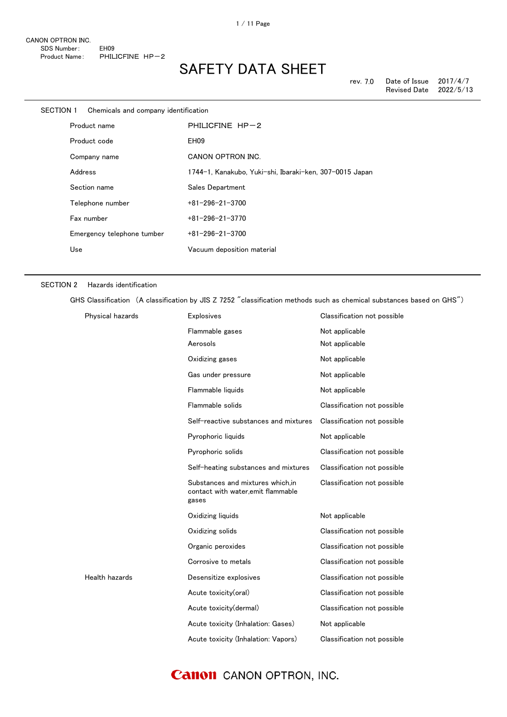| SECTION 1 | Chemicals and company identification |                                                         |
|-----------|--------------------------------------|---------------------------------------------------------|
|           | Product name                         | PHILICFINE HP-2                                         |
|           | Product code                         | EH <sub>09</sub>                                        |
|           | Company name                         | CANON OPTRON INC.                                       |
|           | Address                              | 1744-1, Kanakubo, Yuki-shi, Ibaraki-ken, 307-0015 Japan |
|           | Section name                         | Sales Department                                        |
|           | Telephone number                     | $+81 - 296 - 21 - 3700$                                 |
|           | Fax number                           | $+81-296-21-3770$                                       |
|           | Emergency telephone tumber           | $+81 - 296 - 21 - 3700$                                 |
| Use       |                                      | Vacuum deposition material                              |

#### SECTION 2 Hazards identification

GHS Classification (A classification by JIS Z 7252 "classification methods such as chemical substances based on GHS")

| Physical hazards | Explosives                                                                      | Classification not possible |
|------------------|---------------------------------------------------------------------------------|-----------------------------|
|                  | Flammable gases                                                                 | Not applicable              |
|                  | Aerosols                                                                        | Not applicable              |
|                  | Oxidizing gases                                                                 | Not applicable              |
|                  | Gas under pressure                                                              | Not applicable              |
|                  | Flammable liquids                                                               | Not applicable              |
|                  | Flammable solids                                                                | Classification not possible |
|                  | Self-reactive substances and mixtures                                           | Classification not possible |
|                  | Pyrophoric liquids                                                              | Not applicable              |
|                  | Pyrophoric solids                                                               | Classification not possible |
|                  | Self-heating substances and mixtures                                            | Classification not possible |
|                  | Substances and mixtures which.in<br>contact with water, emit flammable<br>gases | Classification not possible |
|                  | Oxidizing liquids                                                               | Not applicable              |
|                  | Oxidizing solids                                                                | Classification not possible |
|                  | Organic peroxides                                                               | Classification not possible |
|                  | Corrosive to metals                                                             | Classification not possible |
| Health hazards   | Desensitize explosives                                                          | Classification not possible |
|                  | Acute toxicity(oral)                                                            | Classification not possible |
|                  | Acute toxicity(dermal)                                                          | Classification not possible |
|                  | Acute toxicity (Inhalation: Gases)                                              | Not applicable              |
|                  | Acute toxicity (Inhalation: Vapors)                                             | Classification not possible |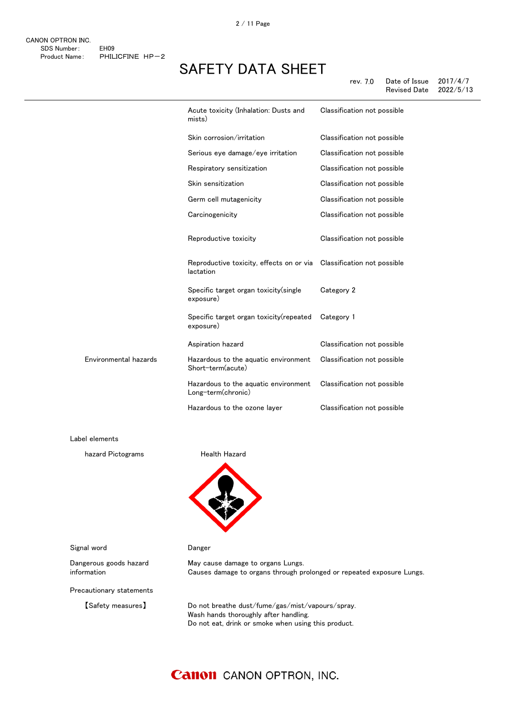|                       | Acute toxicity (Inhalation: Dusts and<br>mists)            | Classification not possible |
|-----------------------|------------------------------------------------------------|-----------------------------|
|                       | Skin corrosion/irritation                                  | Classification not possible |
|                       | Serious eye damage/eye irritation                          | Classification not possible |
|                       | Respiratory sensitization                                  | Classification not possible |
|                       | Skin sensitization                                         | Classification not possible |
|                       | Germ cell mutagenicity                                     | Classification not possible |
|                       | Carcinogenicity                                            | Classification not possible |
|                       | Reproductive toxicity                                      | Classification not possible |
|                       | Reproductive toxicity, effects on or via<br>lactation      | Classification not possible |
|                       | Specific target organ toxicity (single<br>exposure)        | Category 2                  |
|                       | Specific target organ toxicity (repeated<br>exposure)      | Category 1                  |
|                       | Aspiration hazard                                          | Classification not possible |
| Environmental hazards | Hazardous to the aquatic environment<br>Short-term(acute)  | Classification not possible |
|                       | Hazardous to the aquatic environment<br>Long-term(chronic) | Classification not possible |
|                       | Hazardous to the ozone layer                               | Classification not possible |

Label elements

hazard Pictograms **Health Hazard** 



Signal word **Danger** 

Dangerous goods hazard information

Precautionary statements

May cause damage to organs Lungs. Causes damage to organs through prolonged or repeated exposure Lungs.

【Safety measures】 Do not breathe dust/fume/gas/mist/vapours/spray. Wash hands thoroughly after handling. Do not eat, drink or smoke when using this product.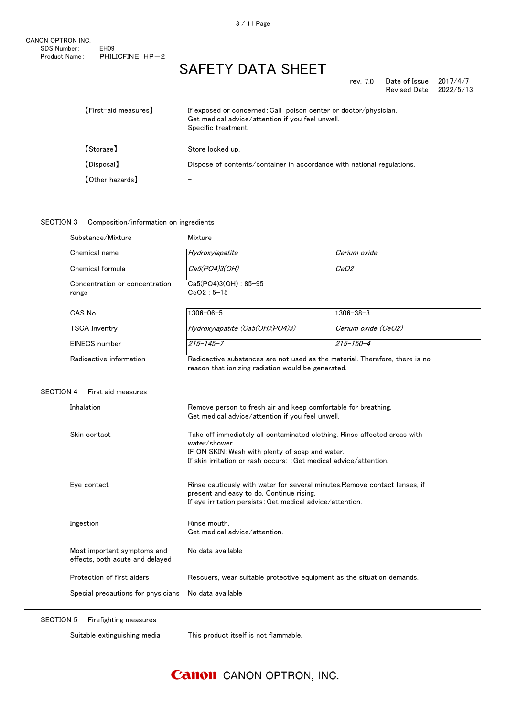| rev. 7.0 | Date of Issue | 2017/4/7  |
|----------|---------------|-----------|
|          | Revised Date  | 2022/5/13 |

| [First-aid measures] | If exposed or concerned: Call poison center or doctor/physician.<br>Get medical advice/attention if you feel unwell.<br>Specific treatment. |
|----------------------|---------------------------------------------------------------------------------------------------------------------------------------------|
| 【Storage】            | Store locked up.                                                                                                                            |
| 【Disposal】           | Dispose of contents/container in accordance with national regulations.                                                                      |
| 【Other hazards】      |                                                                                                                                             |

### SECTION 3 Composition/information on ingredients

| Substance/Mixture                                              | Mixture                                                                                                                                                                                                             |                     |
|----------------------------------------------------------------|---------------------------------------------------------------------------------------------------------------------------------------------------------------------------------------------------------------------|---------------------|
| Chemical name                                                  | Hydroxylapatite                                                                                                                                                                                                     | Cerium oxide        |
| Chemical formula                                               | Ca5(PO4)3(OH)                                                                                                                                                                                                       | CeO2                |
| Concentration or concentration<br>range                        | Ca5(PO4)3(OH): 85-95<br>$CeO2:5-15$                                                                                                                                                                                 |                     |
| CAS No.                                                        | $1306 - 06 - 5$                                                                                                                                                                                                     | $1306 - 38 - 3$     |
| <b>TSCA Inventry</b>                                           | Hydroxylapatite (Ca5(OH)(PO4)3)                                                                                                                                                                                     | Cerium oxide (CeO2) |
| <b>EINECS</b> number                                           | $215 - 145 - 7$                                                                                                                                                                                                     | $215 - 150 - 4$     |
| Radioactive information                                        | Radioactive substances are not used as the material. Therefore, there is no<br>reason that ionizing radiation would be generated.                                                                                   |                     |
| <b>SECTION 4</b><br>First aid measures                         |                                                                                                                                                                                                                     |                     |
| Inhalation                                                     | Remove person to fresh air and keep comfortable for breathing.<br>Get medical advice/attention if you feel unwell.                                                                                                  |                     |
| Skin contact                                                   | Take off immediately all contaminated clothing. Rinse affected areas with<br>water/shower.<br>IF ON SKIN: Wash with plenty of soap and water.<br>If skin irritation or rash occurs: : Get medical advice/attention. |                     |
| Eye contact                                                    | Rinse cautiously with water for several minutes. Remove contact lenses, if<br>present and easy to do. Continue rising.<br>If eye irritation persists: Get medical advice/attention.                                 |                     |
| Ingestion                                                      | Rinse mouth.<br>Get medical advice/attention.                                                                                                                                                                       |                     |
| Most important symptoms and<br>effects, both acute and delayed | No data available                                                                                                                                                                                                   |                     |
| Protection of first aiders                                     | Rescuers, wear suitable protective equipment as the situation demands.                                                                                                                                              |                     |
| Special precautions for physicians                             | No data available                                                                                                                                                                                                   |                     |

SECTION 5 Firefighting measures

Suitable extinguishing media This product itself is not flammable.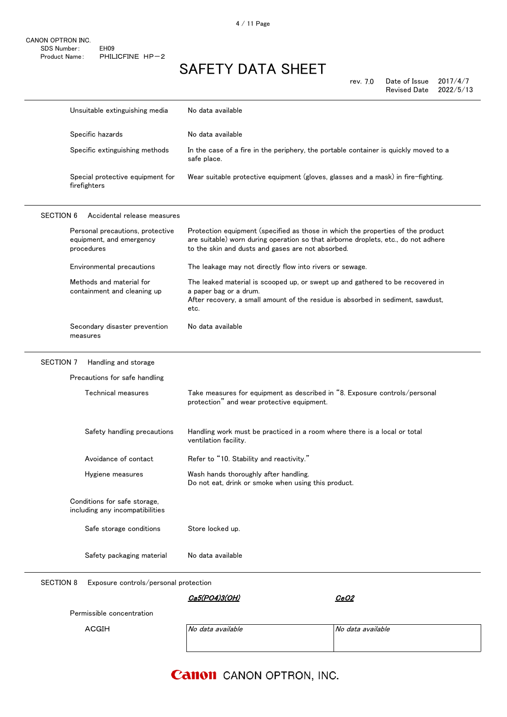|                  | Unsuitable extinguishing media                                             | No data available                                                                                                                                                                                                          |
|------------------|----------------------------------------------------------------------------|----------------------------------------------------------------------------------------------------------------------------------------------------------------------------------------------------------------------------|
|                  | Specific hazards                                                           | No data available                                                                                                                                                                                                          |
|                  | Specific extinguishing methods                                             | In the case of a fire in the periphery, the portable container is quickly moved to a<br>safe place.                                                                                                                        |
|                  | Special protective equipment for<br>firefighters                           | Wear suitable protective equipment (gloves, glasses and a mask) in fire-fighting.                                                                                                                                          |
| <b>SECTION 6</b> | Accidental release measures                                                |                                                                                                                                                                                                                            |
|                  | Personal precautions, protective<br>equipment, and emergency<br>procedures | Protection equipment (specified as those in which the properties of the product<br>are suitable) worn during operation so that airborne droplets, etc., do not adhere<br>to the skin and dusts and gases are not absorbed. |
|                  | Environmental precautions                                                  | The leakage may not directly flow into rivers or sewage.                                                                                                                                                                   |
|                  | Methods and material for<br>containment and cleaning up                    | The leaked material is scooped up, or swept up and gathered to be recovered in<br>a paper bag or a drum.<br>After recovery, a small amount of the residue is absorbed in sediment, sawdust,<br>etc.                        |
|                  | Secondary disaster prevention<br>measures                                  | No data available                                                                                                                                                                                                          |
| SECTION 7        | Handling and storage                                                       |                                                                                                                                                                                                                            |
|                  | Precautions for safe handling                                              |                                                                                                                                                                                                                            |
|                  | Technical measures                                                         | Take measures for equipment as described in "8. Exposure controls/personal<br>protection" and wear protective equipment.                                                                                                   |
|                  | Safety handling precautions                                                | Handling work must be practiced in a room where there is a local or total<br>ventilation facility.                                                                                                                         |
|                  | Avoidance of contact                                                       | Refer to "10. Stability and reactivity."                                                                                                                                                                                   |
|                  | Hygiene measures                                                           | Wash hands thoroughly after handling.<br>Do not eat, drink or smoke when using this product.                                                                                                                               |
|                  | Conditions for safe storage,<br>including any incompatibilities            |                                                                                                                                                                                                                            |
|                  | Safe storage conditions                                                    | Store locked up.                                                                                                                                                                                                           |
|                  | Safety packaging material                                                  | No data available                                                                                                                                                                                                          |
| <b>SECTION 8</b> | Exposure controls/personal protection                                      |                                                                                                                                                                                                                            |
|                  |                                                                            | Ca5(PO4)3(OH)<br><u>CeO2</u>                                                                                                                                                                                               |
|                  | Permissible concentration                                                  |                                                                                                                                                                                                                            |

ACGIH No data available No data available No data available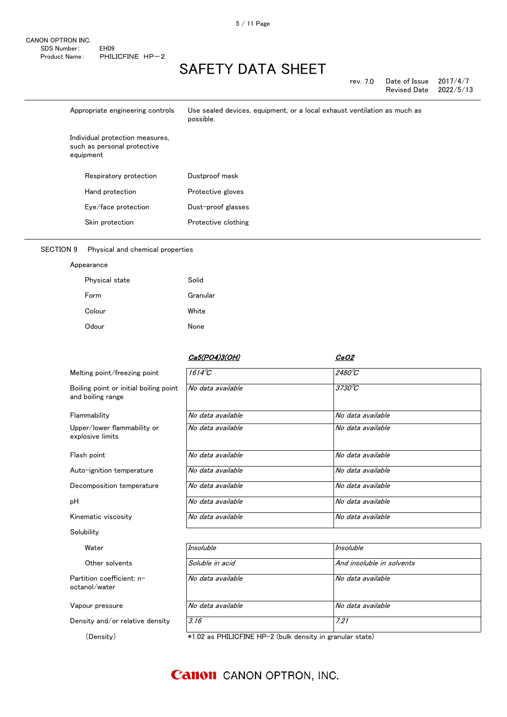| rev. 7.0 | Date of Issue | 2017/4/7  |
|----------|---------------|-----------|
|          | Revised Date  | 2022/5/13 |

| Appropriate engineering controls                                            | Use sealed devices, equipment, or a local exhaust ventilation as much as<br>possible. |
|-----------------------------------------------------------------------------|---------------------------------------------------------------------------------------|
| Individual protection measures,<br>such as personal protective<br>equipment |                                                                                       |
| Respiratory protection                                                      | Dustproof mask                                                                        |
| Hand protection                                                             | Protective gloves                                                                     |
| Eye/face protection                                                         | Dust-proof glasses                                                                    |
| Skin protection                                                             | Protective clothing                                                                   |

#### SECTION 9 Physical and chemical properties

| Appearance |
|------------|
|------------|

| Physical state | Solid    |
|----------------|----------|
| Form           | Granular |
| Colour         | White    |
| Odour          | None     |

### Partition coefficient: noctanol/water No data available No data available Vapour pressure **No data available** No data available No data available Water **Insoluble** *Insoluble Insoluble Insoluble* Other solvents Soluble in acid And insoluble in solvents Kinematic viscosity **No data available** No data available No data available Solubility Decomposition temperature No data available No data available No data available pH No data available No data available No data available Flash point **No data available** No data available No data available No data available Auto-ignition temperature No data available No data available No data available Flammability **No data available** No data available No data available Upper/lower flammability or explosive limits No data available No data available Melting point/freezing point 1614℃ 2480℃ Boiling point or initial boiling point and boiling range No data available 3730℃ Ca5(PO4)3(OH) CeO2

Density and/or relative density 3.16 3.16

(Density) \*1.02 as PHILICFINE HP-2 (bulk density in granular state)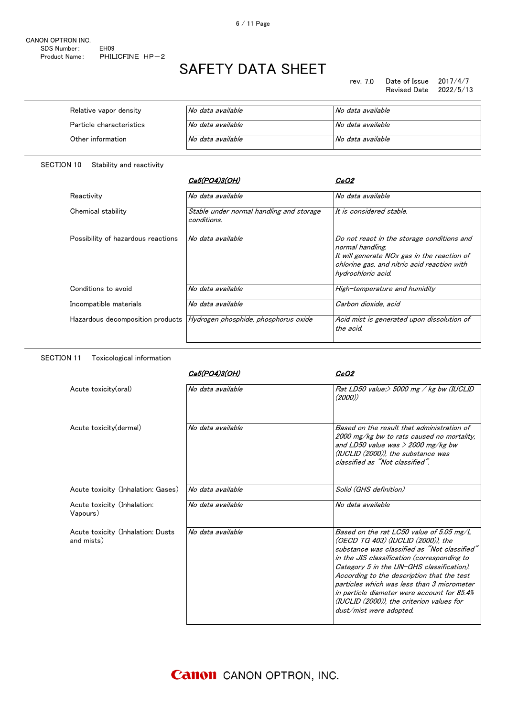| Relative vapor density   | No data available | No data available |
|--------------------------|-------------------|-------------------|
| Particle characteristics | No data available | No data available |
| Other information        | No data available | No data available |

SECTION 10 Stability and reactivity

SECTION 11 Toxicological information

|                                    | Ca5(PO4)3(OH)                                           | <i>CeO2</i>                                                                                                                                                                        |
|------------------------------------|---------------------------------------------------------|------------------------------------------------------------------------------------------------------------------------------------------------------------------------------------|
| Reactivity                         | No data available                                       | No data available                                                                                                                                                                  |
| Chemical stability                 | Stable under normal handling and storage<br>conditions. | It is considered stable.                                                                                                                                                           |
| Possibility of hazardous reactions | No data available                                       | Do not react in the storage conditions and<br>normal handling.<br>It will generate NOx gas in the reaction of<br>chlorine gas, and nitric acid reaction with<br>hydrochloric acid. |
| Conditions to avoid                | No data available                                       | High-temperature and humidity                                                                                                                                                      |
| Incompatible materials             | No data available                                       | Carbon dioxide, acid                                                                                                                                                               |
| Hazardous decomposition products   | Hydrogen phosphide, phosphorus oxide                    | Acid mist is generated upon dissolution of<br>the acid.                                                                                                                            |

|                                                 | Ca5(PO4)3(OH)     | <i>CeO2</i>                                                                                                                                                                                                                                                                                                                                                                                                                                   |
|-------------------------------------------------|-------------------|-----------------------------------------------------------------------------------------------------------------------------------------------------------------------------------------------------------------------------------------------------------------------------------------------------------------------------------------------------------------------------------------------------------------------------------------------|
| Acute toxicity(oral)                            | No data available | Rat LD50 value:> 5000 mg / kg bw (IUCLID<br>(2000)                                                                                                                                                                                                                                                                                                                                                                                            |
| Acute toxicity (dermal)                         | No data available | Based on the result that administration of<br>2000 mg/kg bw to rats caused no mortality.<br>and LD50 value was $>$ 2000 mg/kg bw<br>(IUCLID (2000)), the substance was<br>classified as "Not classified"                                                                                                                                                                                                                                      |
| Acute toxicity (Inhalation: Gases)              | No data available | Solid (GHS definition)                                                                                                                                                                                                                                                                                                                                                                                                                        |
| Acute toxicity (Inhalation:<br>Vapours)         | No data available | No data available                                                                                                                                                                                                                                                                                                                                                                                                                             |
| Acute toxicity (Inhalation: Dusts<br>and mists) | No data available | Based on the rat LC50 value of 5.05 mg/L<br>(OECD TG 403) (IUCLID (2000)), the<br>substance was classified as "Not classified"<br>in the JIS classification (corresponding to<br>Category 5 in the UN-GHS classification).<br>According to the description that the test<br>particles which was less than 3 micrometer<br>in particle diameter were account for 85.4%<br>(IUCLID (2000)), the criterion values for<br>dust/mist were adopted. |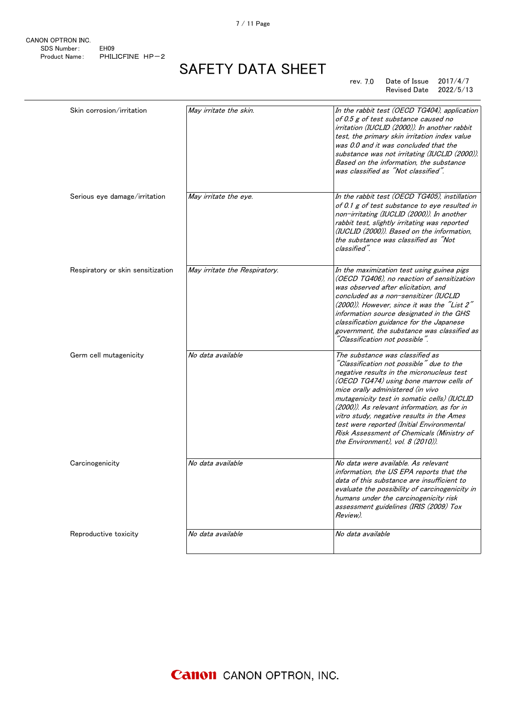7 / 11 Page

CANON OPTRON INC. SDS Number: EH09 Product Name: PHILICFINE HP-2

# SAFETY DATA SHEET

#### rev. 7.0 Date of Issue 2017/4/7 Revised Date 2022/5/13

| Skin corrosion/irritation         | May irritate the skin.        | In the rabbit test (OECD TG404), application<br>of 0.5 g of test substance caused no<br>irritation (IUCLID (2000)). In another rabbit<br>test, the primary skin irritation index value<br>was 0.0 and it was concluded that the<br>substance was not irritating (IUCLID (2000)).<br>Based on the information, the substance<br>was classified as "Not classified".                                                                                                                 |
|-----------------------------------|-------------------------------|------------------------------------------------------------------------------------------------------------------------------------------------------------------------------------------------------------------------------------------------------------------------------------------------------------------------------------------------------------------------------------------------------------------------------------------------------------------------------------|
| Serious eye damage/irritation     | May irritate the eye.         | In the rabbit test (OECD TG405), instillation<br>of 0.1 g of test substance to eye resulted in<br>non-irritating (IUCLID (2000)). In another<br>rabbit test, slightly irritating was reported<br>(IUCLID (2000)). Based on the information,<br>the substance was classified as "Not<br>classified".                                                                                                                                                                                |
| Respiratory or skin sensitization | May irritate the Respiratory. | In the maximization test using guinea pigs<br>(OECD TG406), no reaction of sensitization<br>was observed after elicitation, and<br>concluded as a non-sensitizer (IUCLID<br>(2000)). However, since it was the "List 2"<br>information source designated in the GHS<br>classification guidance for the Japanese<br>government, the substance was classified as<br>"Classification not possible".                                                                                   |
| Germ cell mutagenicity            | No data available             | The substance was classified as<br>"Classification not possible" due to the<br>negative results in the micronucleus test<br>(OECD TG474) using bone marrow cells of<br>mice orally administered (in vivo<br>mutagenicity test in somatic cells) (IUCLID<br>(2000)). As relevant information, as for in<br>vitro study, negative results in the Ames<br>test were reported (Initial Environmental<br>Risk Assessment of Chemicals (Ministry of<br>the Environment), vol. 8 (2010)). |
| Carcinogenicity                   | No data available             | No data were available. As relevant<br>information, the US EPA reports that the<br>data of this substance are insufficient to<br>evaluate the possibility of carcinogenicity in<br>humans under the carcinogenicity risk<br>assessment guidelines (IRIS (2009) Tox<br>Review).                                                                                                                                                                                                     |
| Reproductive toxicity             | No data available             | No data available                                                                                                                                                                                                                                                                                                                                                                                                                                                                  |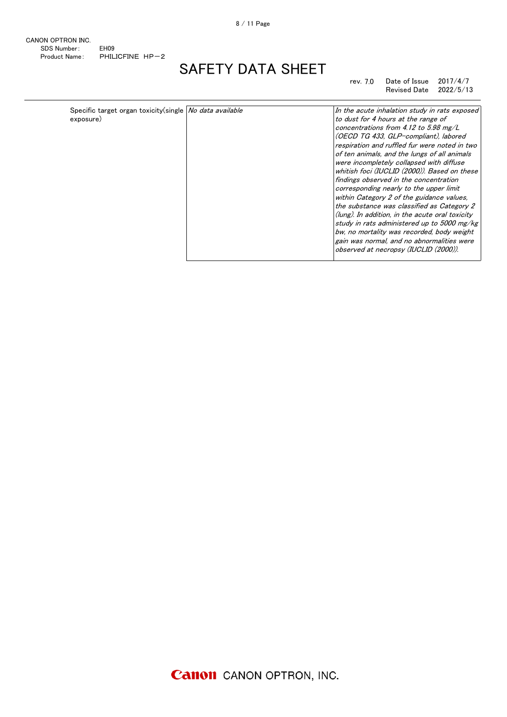#### rev. 7.0 Date of Issue 2017/4/7 Revised Date 2022/5/13

| Specific target organ toxicity(single   No data available<br>exposure) | In the acute inhalation study in rats exposed<br>to dust for 4 hours at the range of<br>concentrations from 4.12 to 5.98 mg/L<br>(OECD TG 433, GLP-compliant), labored<br>respiration and ruffled fur were noted in two<br>of ten animals, and the lungs of all animals<br>were incompletely collapsed with diffuse<br>whitish foci (IUCLID (2000)). Based on these<br>findings observed in the concentration<br>corresponding nearly to the upper limit<br>within Category 2 of the guidance values.<br>the substance was classified as Category 2<br>(lung). In addition, in the acute oral toxicity<br>study in rats administered up to 5000 mg/kg<br>bw, no mortality was recorded, body weight<br>gain was normal, and no abnormalities were<br>observed at necropsy (IUCLID (2000)). |
|------------------------------------------------------------------------|--------------------------------------------------------------------------------------------------------------------------------------------------------------------------------------------------------------------------------------------------------------------------------------------------------------------------------------------------------------------------------------------------------------------------------------------------------------------------------------------------------------------------------------------------------------------------------------------------------------------------------------------------------------------------------------------------------------------------------------------------------------------------------------------|
|                                                                        |                                                                                                                                                                                                                                                                                                                                                                                                                                                                                                                                                                                                                                                                                                                                                                                            |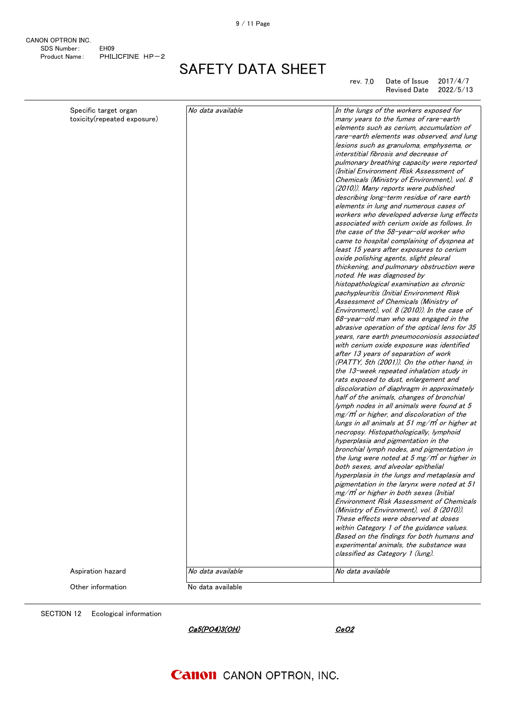CANON OPTRON INC. SDS Number: EH09 Product Name: PHILICFINE HP-2

# SAFETY DATA SHEET

#### rev. 7.0 Date of Issue 2017/4/7 Revised Date 2022/5/13

| Specific target organ<br>toxicity(repeated exposure) | No data available | In the lungs of the workers exposed for<br>many years to the fumes of rare-earth<br>elements such as cerium, accumulation of<br>rare-earth elements was observed, and lung<br>lesions such as granuloma, emphysema, or<br>interstitial fibrosis and decrease of<br>pulmonary breathing capacity were reported<br>(Initial Environment Risk Assessment of<br>Chemicals (Ministry of Environment), vol. 8<br>(2010)). Many reports were published<br>describing long-term residue of rare earth<br>elements in lung and numerous cases of<br>workers who developed adverse lung effects<br>associated with cerium oxide as follows. In<br>the case of the 58-year-old worker who<br>came to hospital complaining of dyspnea at<br>least 15 years after exposures to cerium<br>oxide polishing agents, slight pleural<br>thickening, and pulmonary obstruction were<br>noted. He was diagnosed by<br>histopathological examination as chronic<br>pachypleuritis (Initial Environment Risk<br>Assessment of Chemicals (Ministry of<br>Environment), vol. 8 (2010)). In the case of<br>68-year-old man who was engaged in the<br>abrasive operation of the optical lens for 35<br>years, rare earth pneumoconiosis associated<br>with cerium oxide exposure was identified<br>after 13 years of separation of work<br>(PATTY, 5th (2001)). On the other hand, in<br>the 13-week repeated inhalation study in<br>rats exposed to dust, enlargement and<br>discoloration of diaphragm in approximately<br>half of the animals, changes of bronchial<br>lymph nodes in all animals were found at 5<br>$mg/m$ or higher, and discoloration of the<br>lungs in all animals at 51 mg/m° or higher at<br>necropsy. Histopathologically, lymphoid<br>hyperplasia and pigmentation in the<br>bronchial lymph nodes, and pigmentation in<br>the lung were noted at 5 mg/ $m$ or higher in<br>both sexes, and alveolar epithelial<br>hyperplasia in the lungs and metaplasia and<br>pigmentation in the larynx were noted at 51<br>$mg/m^3$ or higher in both sexes (Initial<br><b>Environment Risk Assessment of Chemicals</b><br>(Ministry of Environment), vol. 8 (2010)).<br>These effects were observed at doses<br>within Category 1 of the guidance values.<br>Based on the findings for both humans and<br>experimental animals, the substance was<br>classified as Category 1 (lung). |
|------------------------------------------------------|-------------------|--------------------------------------------------------------------------------------------------------------------------------------------------------------------------------------------------------------------------------------------------------------------------------------------------------------------------------------------------------------------------------------------------------------------------------------------------------------------------------------------------------------------------------------------------------------------------------------------------------------------------------------------------------------------------------------------------------------------------------------------------------------------------------------------------------------------------------------------------------------------------------------------------------------------------------------------------------------------------------------------------------------------------------------------------------------------------------------------------------------------------------------------------------------------------------------------------------------------------------------------------------------------------------------------------------------------------------------------------------------------------------------------------------------------------------------------------------------------------------------------------------------------------------------------------------------------------------------------------------------------------------------------------------------------------------------------------------------------------------------------------------------------------------------------------------------------------------------------------------------------------------------------------------------------------------------------------------------------------------------------------------------------------------------------------------------------------------------------------------------------------------------------------------------------------------------------------------------------------------------------------------------------------------------------------------------------------------------------------------------------------------|
|                                                      |                   |                                                                                                                                                                                                                                                                                                                                                                                                                                                                                                                                                                                                                                                                                                                                                                                                                                                                                                                                                                                                                                                                                                                                                                                                                                                                                                                                                                                                                                                                                                                                                                                                                                                                                                                                                                                                                                                                                                                                                                                                                                                                                                                                                                                                                                                                                                                                                                                |
| Aspiration hazard                                    | No data available | No data available                                                                                                                                                                                                                                                                                                                                                                                                                                                                                                                                                                                                                                                                                                                                                                                                                                                                                                                                                                                                                                                                                                                                                                                                                                                                                                                                                                                                                                                                                                                                                                                                                                                                                                                                                                                                                                                                                                                                                                                                                                                                                                                                                                                                                                                                                                                                                              |
| Other information                                    | No data available |                                                                                                                                                                                                                                                                                                                                                                                                                                                                                                                                                                                                                                                                                                                                                                                                                                                                                                                                                                                                                                                                                                                                                                                                                                                                                                                                                                                                                                                                                                                                                                                                                                                                                                                                                                                                                                                                                                                                                                                                                                                                                                                                                                                                                                                                                                                                                                                |
|                                                      |                   |                                                                                                                                                                                                                                                                                                                                                                                                                                                                                                                                                                                                                                                                                                                                                                                                                                                                                                                                                                                                                                                                                                                                                                                                                                                                                                                                                                                                                                                                                                                                                                                                                                                                                                                                                                                                                                                                                                                                                                                                                                                                                                                                                                                                                                                                                                                                                                                |

SECTION 12 Ecological information

Ca5(PO4)3(OH) CeO2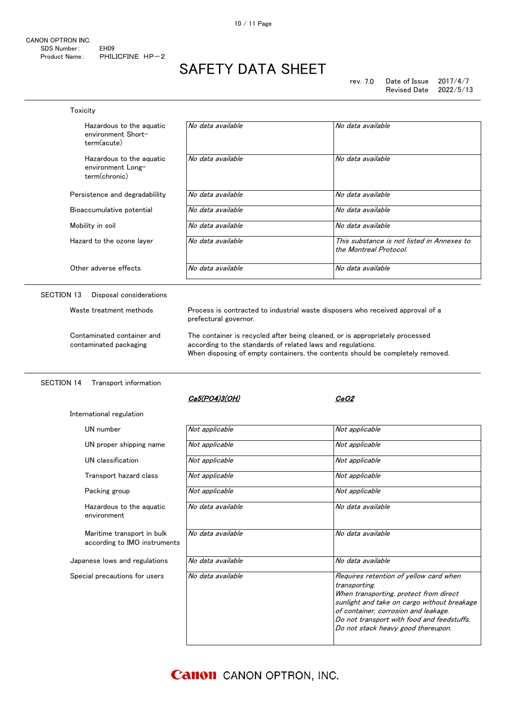Toxicity

# SAFETY DATA SHEET

| Hazardous to the aguatic<br>environment Short-<br>term(acute)  | No data available                                                                                                                                                                                                             | No data available                                                    |
|----------------------------------------------------------------|-------------------------------------------------------------------------------------------------------------------------------------------------------------------------------------------------------------------------------|----------------------------------------------------------------------|
| Hazardous to the aguatic<br>environment Long-<br>term(chronic) | No data available                                                                                                                                                                                                             | No data available                                                    |
| Persistence and degradability                                  | No data available                                                                                                                                                                                                             | No data available                                                    |
| Bioaccumulative potential                                      | No data available                                                                                                                                                                                                             | No data available                                                    |
| Mobility in soil                                               | No data available                                                                                                                                                                                                             | No data available                                                    |
| Hazard to the ozone layer                                      | No data available                                                                                                                                                                                                             | This substance is not listed in Annexes to<br>the Montreal Protocol. |
| Other adverse effects                                          | No data available                                                                                                                                                                                                             | No data available                                                    |
| SECTION 13<br>Disposal considerations                          |                                                                                                                                                                                                                               |                                                                      |
| Waste treatment methods                                        | Process is contracted to industrial waste disposers who received approval of a<br>prefectural governor.                                                                                                                       |                                                                      |
| Contaminated container and<br>contaminated packaging           | The container is recycled after being cleaned, or is appropriately processed<br>according to the standards of related laws and regulations.<br>When disposing of empty containers, the contents should be completely removed. |                                                                      |

#### SECTION 14 Transport information

International regulation

### Ca5(PO4)3(OH) CeO2

| UN number                                                  | Not applicable    | Not applicable                                                                                                                                                                                                                                                               |
|------------------------------------------------------------|-------------------|------------------------------------------------------------------------------------------------------------------------------------------------------------------------------------------------------------------------------------------------------------------------------|
| UN proper shipping name                                    | Not applicable    | Not applicable                                                                                                                                                                                                                                                               |
| UN classification                                          | Not applicable    | Not applicable                                                                                                                                                                                                                                                               |
| Transport hazard class                                     | Not applicable    | Not applicable                                                                                                                                                                                                                                                               |
| Packing group                                              | Not applicable    | Not applicable                                                                                                                                                                                                                                                               |
| Hazardous to the aguatic<br>environment                    | No data available | No data available                                                                                                                                                                                                                                                            |
| Maritime transport in bulk<br>according to IMO instruments | No data available | No data available                                                                                                                                                                                                                                                            |
| Japanese lows and regulations                              | No data available | No data available                                                                                                                                                                                                                                                            |
| Special precautions for users                              | No data available | Requires retention of yellow card when<br>transporting.<br>When transporting, protect from direct<br>sunlight and take on cargo without breakage<br>of container, corrosion and leakage.<br>Do not transport with food and feedstuffs.<br>Do not stack heavy good thereupon. |